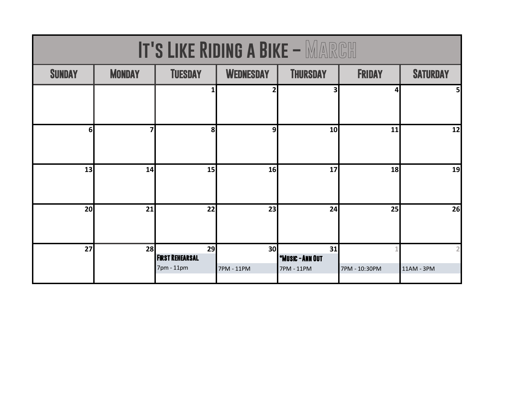| <b>IT'S LIKE RIDING A BIKE - MARGH</b> |               |                                            |                               |                                             |               |                 |
|----------------------------------------|---------------|--------------------------------------------|-------------------------------|---------------------------------------------|---------------|-----------------|
| <b>SUNDAY</b>                          | <b>MONDAY</b> | <b>TUESDAY</b>                             | <b>WEDNESDAY</b>              | <b>THURSDAY</b>                             | <b>FRIDAY</b> | <b>SATURDAY</b> |
|                                        |               | 1                                          | 2                             | 3                                           | 4             | 5               |
| 6 <sup>1</sup>                         | 7             | 8                                          | 9                             | 10                                          | 11            | 12              |
| 13                                     | 14            | 15                                         | 16                            | 17                                          | 18            | 19              |
| 20                                     | 21            | 22                                         | 23                            | 24                                          | 25            | 26              |
| 27                                     | 28            | 29<br><b>FIRST REHEARSAL</b><br>7pm - 11pm | 30 <sup>l</sup><br>7PM - 11PM | 31<br><b>*MUSIC - ANN OUT</b><br>7PM - 11PM | 7PM - 10:30PM | 11AM - 3PM      |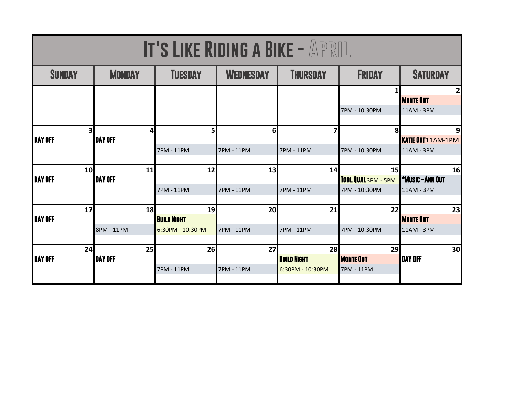| <b>IT'S LIKE RIDING A BIKE - APRIL</b> |                       |                                              |                              |                                              |                                            |                                             |  |
|----------------------------------------|-----------------------|----------------------------------------------|------------------------------|----------------------------------------------|--------------------------------------------|---------------------------------------------|--|
| <b>SUNDAY</b>                          | <b>MONDAY</b>         | <b>TUESDAY</b>                               | <b>WEDNESDAY</b>             | <b>THURSDAY</b>                              | <b>FRIDAY</b>                              | <b>SATURDAY</b>                             |  |
|                                        |                       |                                              |                              |                                              | 1<br>7PM - 10:30PM                         | <b>MONTE OUT</b><br>11AM - 3PM              |  |
| 3<br><b>DAY OFF</b>                    | 4<br><b>i</b> day off | 5<br>7PM - 11PM                              | 6 <sup>l</sup><br>7PM - 11PM | 7<br>7PM - 11PM                              | 8<br>7PM - 10:30PM                         | 9<br><b>KATIE OUT11AM-1PM</b><br>11AM - 3PM |  |
| 10<br><b>DAY OFF</b>                   | 11<br><b>DAY OFF</b>  | 12<br><b>7PM - 11PM</b>                      | 13<br>7PM - 11PM             | 14<br>7PM - 11PM                             | 15<br>TOOL QUAL 3PM - 5PM<br>7PM - 10:30PM | 16<br><b>*MUSIC - ANN OUT</b><br>11AM - 3PM |  |
| 17<br><b>DAY OFF</b>                   | 18<br>8PM - 11PM      | 19<br><b>BUILD NIGHT</b><br>6:30PM - 10:30PM | 20<br>7PM - 11PM             | 21<br>7PM - 11PM                             | 22<br>7PM - 10:30PM                        | 23<br><b>MONTE OUT</b><br>11AM - 3PM        |  |
| 24<br><b>DAY OFF</b>                   | 25<br><b>DAY OFF</b>  | 26<br><b>7PM - 11PM</b>                      | 27<br>7PM - 11PM             | 28<br><b>BUILD NIGHT</b><br>6:30PM - 10:30PM | 29<br><b>MONTE OUT</b><br>7PM - 11PM       | 30<br><b>DAY OFF</b>                        |  |